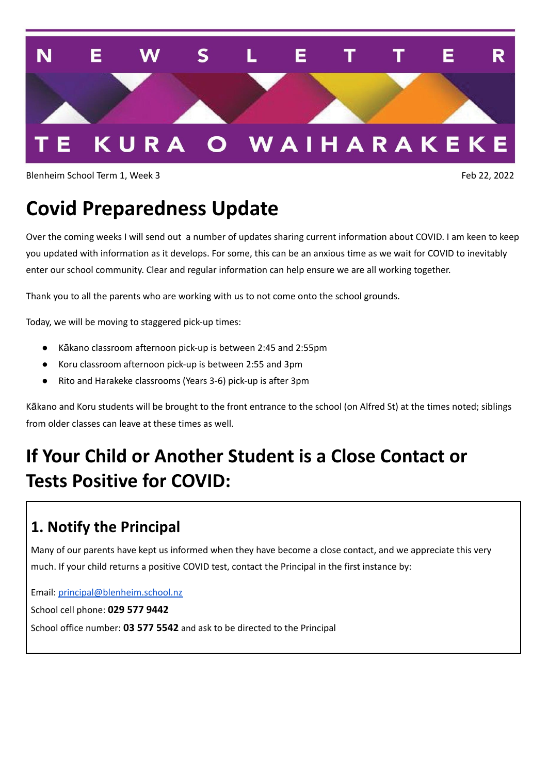

Blenheim School Term 1, Week 3 Feb 22, 2022

# **Covid Preparedness Update**

Over the coming weeks I will send out a number of updates sharing current information about COVID. I am keen to keep you updated with information as it develops. For some, this can be an anxious time as we wait for COVID to inevitably enter our school community. Clear and regular information can help ensure we are all working together.

Thank you to all the parents who are working with us to not come onto the school grounds.

Today, we will be moving to staggered pick-up times:

- Kākano classroom afternoon pick-up is between 2:45 and 2:55pm
- Koru classroom afternoon pick-up is between 2:55 and 3pm
- Rito and Harakeke classrooms (Years 3-6) pick-up is after 3pm

Kākano and Koru students will be brought to the front entrance to the school (on Alfred St) at the times noted; siblings from older classes can leave at these times as well.

## **If Your Child or Another Student is a Close Contact or Tests Positive for COVID:**

#### **1. Notify the Principal**

Many of our parents have kept us informed when they have become a close contact, and we appreciate this very much. If your child returns a positive COVID test, contact the Principal in the first instance by:

Email: [principal@blenheim.school.nz](mailto:principal@blenheim.school.nz)

School cell phone: **029 577 9442**

School office number: **03 577 5542** and ask to be directed to the Principal